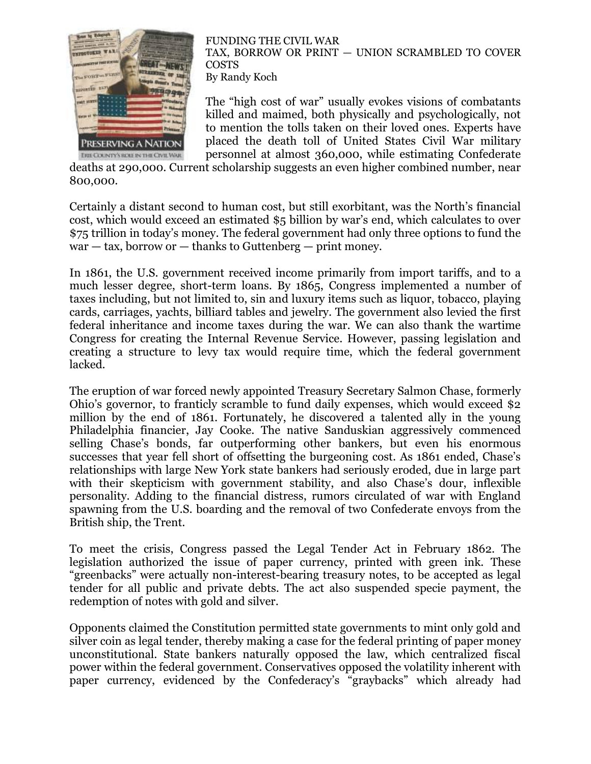

FUNDING THE CIVIL WAR TAX, BORROW OR PRINT — UNION SCRAMBLED TO COVER COSTS By Randy Koch

The "high cost of war" usually evokes visions of combatants killed and maimed, both physically and psychologically, not to mention the tolls taken on their loved ones. Experts have placed the death toll of United States Civil War military personnel at almost 360,000, while estimating Confederate

deaths at 290,000. Current scholarship suggests an even higher combined number, near 800,000.

Certainly a distant second to human cost, but still exorbitant, was the North's financial cost, which would exceed an estimated \$5 billion by war's end, which calculates to over \$75 trillion in today's money. The federal government had only three options to fund the  $war - tax$ , borrow or  $-$  thanks to Guttenberg  $-$  print money.

In 1861, the U.S. government received income primarily from import tariffs, and to a much lesser degree, short-term loans. By 1865, Congress implemented a number of taxes including, but not limited to, sin and luxury items such as liquor, tobacco, playing cards, carriages, yachts, billiard tables and jewelry. The government also levied the first federal inheritance and income taxes during the war. We can also thank the wartime Congress for creating the Internal Revenue Service. However, passing legislation and creating a structure to levy tax would require time, which the federal government lacked.

The eruption of war forced newly appointed Treasury Secretary Salmon Chase, formerly Ohio's governor, to franticly scramble to fund daily expenses, which would exceed \$2 million by the end of 1861. Fortunately, he discovered a talented ally in the young Philadelphia financier, Jay Cooke. The native Sanduskian aggressively commenced selling Chase's bonds, far outperforming other bankers, but even his enormous successes that year fell short of offsetting the burgeoning cost. As 1861 ended, Chase's relationships with large New York state bankers had seriously eroded, due in large part with their skepticism with government stability, and also Chase's dour, inflexible personality. Adding to the financial distress, rumors circulated of war with England spawning from the U.S. boarding and the removal of two Confederate envoys from the British ship, the Trent.

To meet the crisis, Congress passed the Legal Tender Act in February 1862. The legislation authorized the issue of paper currency, printed with green ink. These "greenbacks" were actually non-interest-bearing treasury notes, to be accepted as legal tender for all public and private debts. The act also suspended specie payment, the redemption of notes with gold and silver.

Opponents claimed the Constitution permitted state governments to mint only gold and silver coin as legal tender, thereby making a case for the federal printing of paper money unconstitutional. State bankers naturally opposed the law, which centralized fiscal power within the federal government. Conservatives opposed the volatility inherent with paper currency, evidenced by the Confederacy's "graybacks" which already had